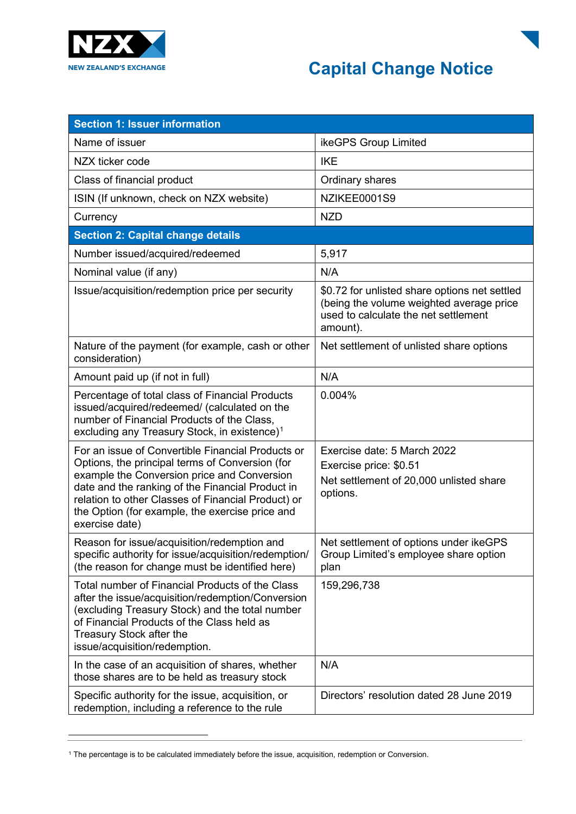



| <b>Section 1: Issuer information</b>                                                                                                                                                                                                                                                                                               |                                                                                                                                               |
|------------------------------------------------------------------------------------------------------------------------------------------------------------------------------------------------------------------------------------------------------------------------------------------------------------------------------------|-----------------------------------------------------------------------------------------------------------------------------------------------|
| Name of issuer                                                                                                                                                                                                                                                                                                                     | ikeGPS Group Limited                                                                                                                          |
| NZX ticker code                                                                                                                                                                                                                                                                                                                    | <b>IKE</b>                                                                                                                                    |
| Class of financial product                                                                                                                                                                                                                                                                                                         | Ordinary shares                                                                                                                               |
| ISIN (If unknown, check on NZX website)                                                                                                                                                                                                                                                                                            | NZIKEE0001S9                                                                                                                                  |
| Currency                                                                                                                                                                                                                                                                                                                           | <b>NZD</b>                                                                                                                                    |
| <b>Section 2: Capital change details</b>                                                                                                                                                                                                                                                                                           |                                                                                                                                               |
| Number issued/acquired/redeemed                                                                                                                                                                                                                                                                                                    | 5,917                                                                                                                                         |
| Nominal value (if any)                                                                                                                                                                                                                                                                                                             | N/A                                                                                                                                           |
| Issue/acquisition/redemption price per security                                                                                                                                                                                                                                                                                    | \$0.72 for unlisted share options net settled<br>(being the volume weighted average price<br>used to calculate the net settlement<br>amount). |
| Nature of the payment (for example, cash or other<br>consideration)                                                                                                                                                                                                                                                                | Net settlement of unlisted share options                                                                                                      |
| Amount paid up (if not in full)                                                                                                                                                                                                                                                                                                    | N/A                                                                                                                                           |
| Percentage of total class of Financial Products<br>issued/acquired/redeemed/ (calculated on the<br>number of Financial Products of the Class,<br>excluding any Treasury Stock, in existence) <sup>1</sup>                                                                                                                          | 0.004%                                                                                                                                        |
| For an issue of Convertible Financial Products or<br>Options, the principal terms of Conversion (for<br>example the Conversion price and Conversion<br>date and the ranking of the Financial Product in<br>relation to other Classes of Financial Product) or<br>the Option (for example, the exercise price and<br>exercise date) | Exercise date: 5 March 2022<br>Exercise price: \$0.51<br>Net settlement of 20,000 unlisted share<br>options.                                  |
| Reason for issue/acquisition/redemption and<br>specific authority for issue/acquisition/redemption/<br>(the reason for change must be identified here)                                                                                                                                                                             | Net settlement of options under ikeGPS<br>Group Limited's employee share option<br>plan                                                       |
| Total number of Financial Products of the Class<br>after the issue/acquisition/redemption/Conversion<br>(excluding Treasury Stock) and the total number<br>of Financial Products of the Class held as<br>Treasury Stock after the<br>issue/acquisition/redemption.                                                                 | 159,296,738                                                                                                                                   |
| In the case of an acquisition of shares, whether<br>those shares are to be held as treasury stock                                                                                                                                                                                                                                  | N/A                                                                                                                                           |
| Specific authority for the issue, acquisition, or<br>redemption, including a reference to the rule                                                                                                                                                                                                                                 | Directors' resolution dated 28 June 2019                                                                                                      |

<span id="page-0-0"></span><sup>1</sup> The percentage is to be calculated immediately before the issue, acquisition, redemption or Conversion.